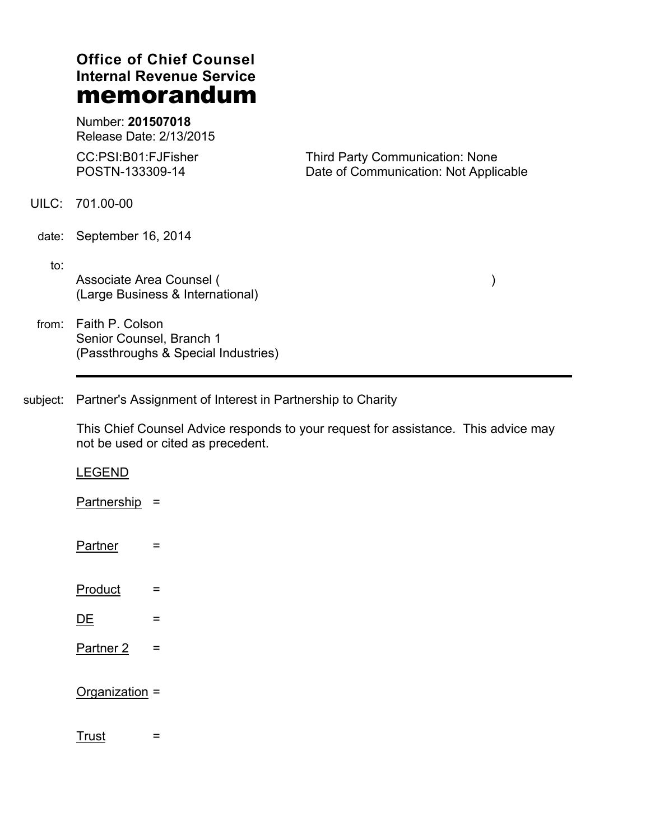# **Office of Chief Counsel Internal Revenue Service memorandum**

Number: **201507018** Release Date: 2/13/2015

CC:PSI:B01:FJFisher POSTN-133309-14

Third Party Communication: None Date of Communication: Not Applicable

UILC: 701.00-00

date: September 16, 2014

 $\mathsf{to}$ :

Associate Area Counsel (----------------------------------------------------------------) (Large Business & International)

from: Faith P. Colson Senior Counsel, Branch 1 (Passthroughs & Special Industries)

subject: Partner's Assignment of Interest in Partnership to Charity

This Chief Counsel Advice responds to your request for assistance. This advice may not be used or cited as precedent.

LEGEND

Partnership  $=$ 

- Partner =
- Product =
- <u>DE</u>  $=$
- Partner  $2 =$

 $Organization =$ 

 $\frac{3}{2}$  Trust  $\frac{1}{2}$  =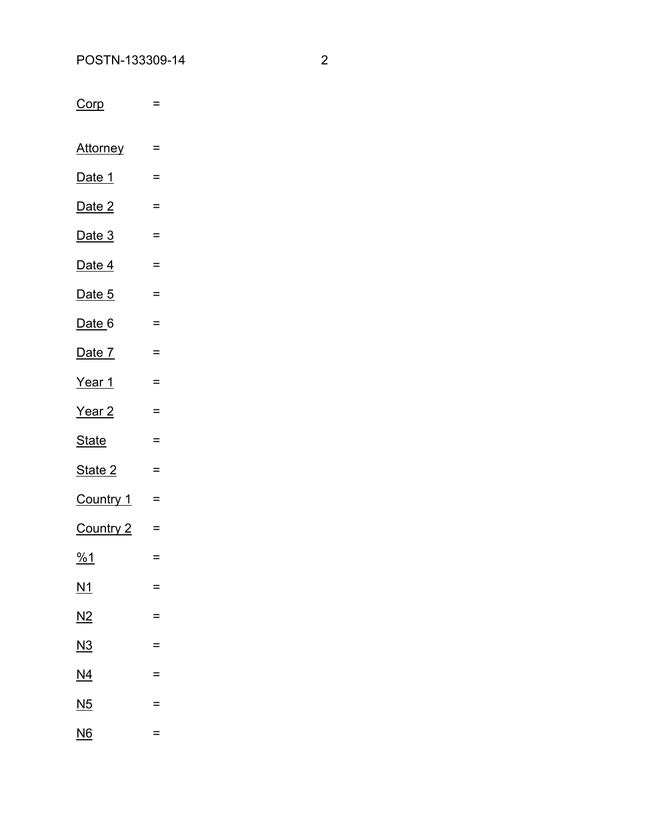Corp  $\equiv$ 

Attorney  $\equiv$ 

- Date 1  $\equiv$
- Date 2  $\equiv$
- Date 3  $\equiv$
- Date 4  $\equiv$
- Date 5  $\equiv$
- Date 6  $\equiv$
- Date 7  $\equiv$
- Year 1  $\equiv$
- Year 2  $\equiv$
- **State**  $\equiv$
- State 2  $\equiv$
- Country 1  $\equiv$
- Country  $2 =$
- $\frac{961}{1}$
- $\underline{M1}$
- $N2$
- 
- 
- $\underline{N4}$
- 
- 
- 
- $\equiv$

 $\equiv$ 

- 
- $\equiv$
- $\underline{N3}$  $\equiv$
- 
- 
- $\underline{\mathsf{N5}}$  $\equiv$
- 
- 
- - $\equiv$
	-
	-
- $NG$ </u>  $\equiv$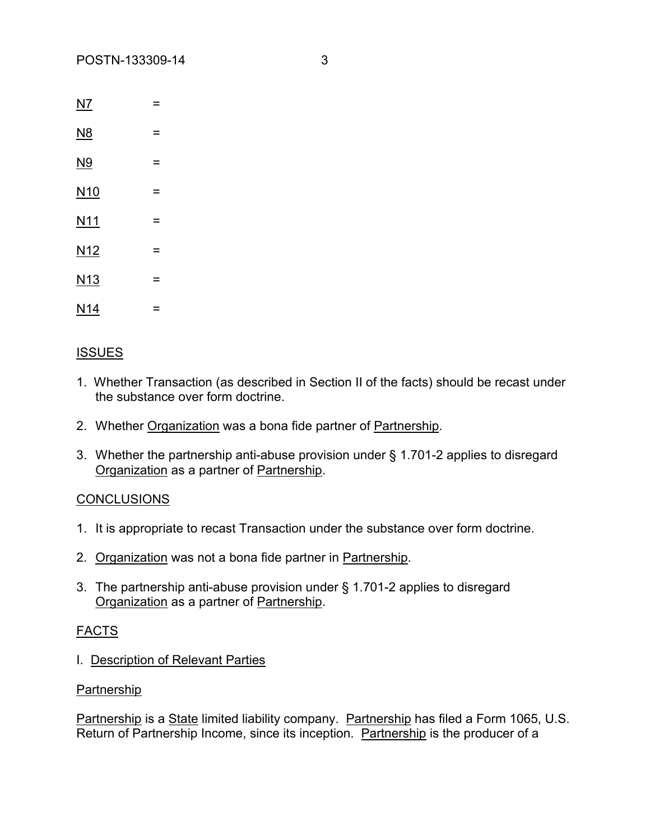| NZ              | = |
|-----------------|---|
| <u>N8</u>       | Ξ |
| <u>N9</u>       | = |
| N <sub>10</sub> | = |
| N <sub>11</sub> | = |
| N <sub>12</sub> | = |
| N <sub>13</sub> | = |
| N <sub>14</sub> | = |

# **ISSUES**

- 1. Whether Transaction (as described in Section II of the facts) should be recast under the substance over form doctrine.
- 2. Whether Organization was a bona fide partner of Partnership.
- 3. Whether the partnership anti-abuse provision under § 1.701-2 applies to disregard Organization as a partner of Partnership.

# **CONCLUSIONS**

- 1. It is appropriate to recast Transaction under the substance over form doctrine.
- 2. Organization was not a bona fide partner in Partnership.
- 3. The partnership anti-abuse provision under § 1.701-2 applies to disregard Organization as a partner of Partnership.

# FACTS

I. Description of Relevant Parties

#### Partnership

Partnership is a State limited liability company. Partnership has filed a Form 1065, U.S. Return of Partnership Income, since its inception. Partnership is the producer of a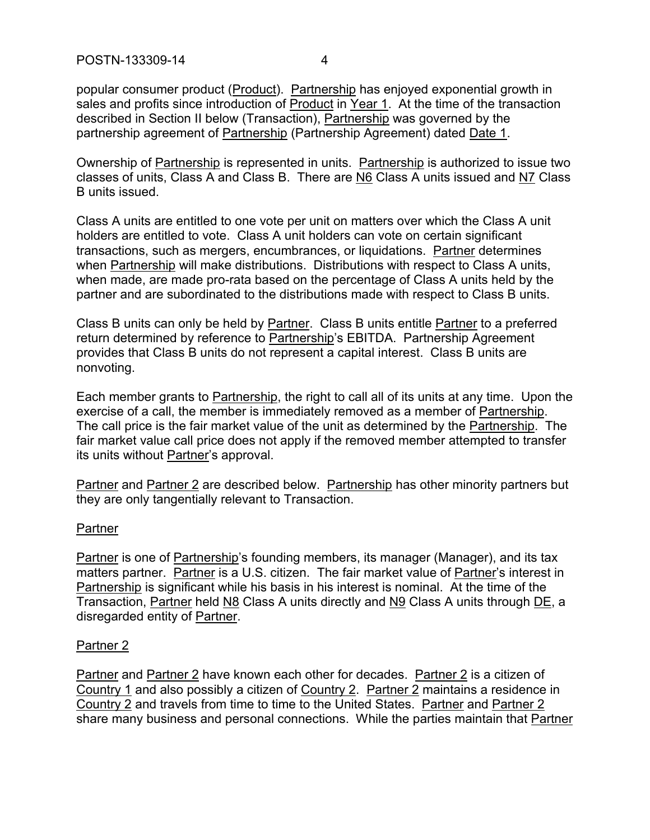popular consumer product (Product). Partnership has enjoyed exponential growth in sales and profits since introduction of Product in Year 1. At the time of the transaction described in Section II below (Transaction), Partnership was governed by the partnership agreement of Partnership (Partnership Agreement) dated Date 1.

Ownership of Partnership is represented in units. Partnership is authorized to issue two classes of units, Class A and Class B. There are N6 Class A units issued and N7 Class B units issued.

Class A units are entitled to one vote per unit on matters over which the Class A unit holders are entitled to vote. Class A unit holders can vote on certain significant transactions, such as mergers, encumbrances, or liquidations. Partner determines when Partnership will make distributions. Distributions with respect to Class A units, when made, are made pro-rata based on the percentage of Class A units held by the partner and are subordinated to the distributions made with respect to Class B units.

Class B units can only be held by Partner. Class B units entitle Partner to a preferred return determined by reference to Partnership's EBITDA. Partnership Agreement provides that Class B units do not represent a capital interest. Class B units are nonvoting.

Each member grants to Partnership, the right to call all of its units at any time. Upon the exercise of a call, the member is immediately removed as a member of Partnership. The call price is the fair market value of the unit as determined by the Partnership. The fair market value call price does not apply if the removed member attempted to transfer its units without Partner's approval.

Partner and Partner 2 are described below. Partnership has other minority partners but they are only tangentially relevant to Transaction.

# **Partner**

Partner is one of Partnership's founding members, its manager (Manager), and its tax matters partner. Partner is a U.S. citizen. The fair market value of Partner's interest in Partnership is significant while his basis in his interest is nominal. At the time of the Transaction, Partner held N8 Class A units directly and N9 Class A units through DE, a disregarded entity of Partner.

#### Partner 2

Partner and Partner 2 have known each other for decades. Partner 2 is a citizen of Country 1 and also possibly a citizen of Country 2. Partner 2 maintains a residence in Country 2 and travels from time to time to the United States. Partner and Partner 2 share many business and personal connections. While the parties maintain that Partner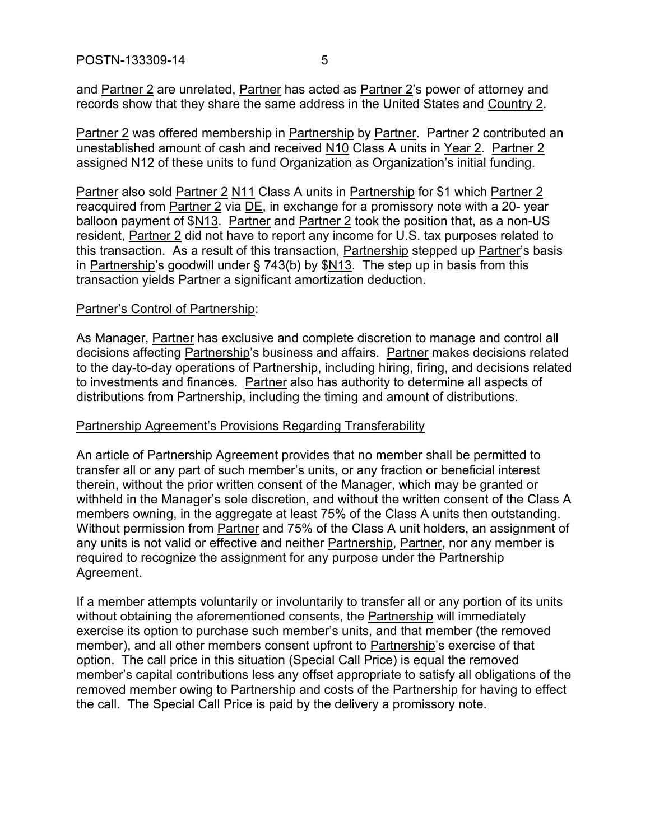and Partner 2 are unrelated, Partner has acted as Partner 2's power of attorney and records show that they share the same address in the United States and Country 2.

Partner 2 was offered membership in Partnership by Partner. Partner 2 contributed an unestablished amount of cash and received N10 Class A units in Year 2. Partner 2 assigned N12 of these units to fund Organization as Organization's initial funding.

Partner also sold Partner 2 N11 Class A units in Partnership for \$1 which Partner 2 reacquired from Partner 2 via DE, in exchange for a promissory note with a 20- year balloon payment of \$N13. Partner and Partner 2 took the position that, as a non-US resident, Partner 2 did not have to report any income for U.S. tax purposes related to this transaction. As a result of this transaction, Partnership stepped up Partner's basis in Partnership's goodwill under § 743(b) by \$N13. The step up in basis from this transaction yields **Partner** a significant amortization deduction.

#### Partner's Control of Partnership:

As Manager, Partner has exclusive and complete discretion to manage and control all decisions affecting Partnership's business and affairs. Partner makes decisions related to the day-to-day operations of Partnership, including hiring, firing, and decisions related to investments and finances. Partner also has authority to determine all aspects of distributions from Partnership, including the timing and amount of distributions.

#### Partnership Agreement's Provisions Regarding Transferability

An article of Partnership Agreement provides that no member shall be permitted to transfer all or any part of such member's units, or any fraction or beneficial interest therein, without the prior written consent of the Manager, which may be granted or withheld in the Manager's sole discretion, and without the written consent of the Class A members owning, in the aggregate at least 75% of the Class A units then outstanding. Without permission from Partner and 75% of the Class A unit holders, an assignment of any units is not valid or effective and neither Partnership, Partner, nor any member is required to recognize the assignment for any purpose under the Partnership Agreement.

If a member attempts voluntarily or involuntarily to transfer all or any portion of its units without obtaining the aforementioned consents, the Partnership will immediately exercise its option to purchase such member's units, and that member (the removed member), and all other members consent upfront to Partnership's exercise of that option. The call price in this situation (Special Call Price) is equal the removed member's capital contributions less any offset appropriate to satisfy all obligations of the removed member owing to Partnership and costs of the Partnership for having to effect the call. The Special Call Price is paid by the delivery a promissory note.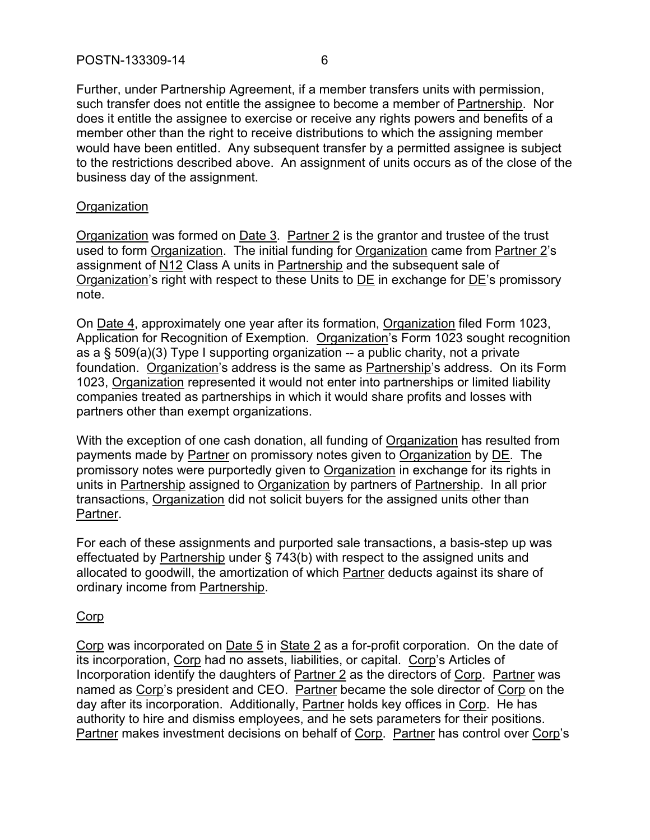Further, under Partnership Agreement, if a member transfers units with permission, such transfer does not entitle the assignee to become a member of Partnership. Nor does it entitle the assignee to exercise or receive any rights powers and benefits of a member other than the right to receive distributions to which the assigning member would have been entitled. Any subsequent transfer by a permitted assignee is subject to the restrictions described above. An assignment of units occurs as of the close of the business day of the assignment.

#### **Organization**

Organization was formed on Date 3. Partner 2 is the grantor and trustee of the trust used to form Organization. The initial funding for Organization came from Partner 2's assignment of N12 Class A units in Partnership and the subsequent sale of Organization's right with respect to these Units to **DE** in exchange for **DE**'s promissory note.

On Date 4, approximately one year after its formation, Organization filed Form 1023, Application for Recognition of Exemption. Organization's Form 1023 sought recognition as a  $\S$  509(a)(3) Type I supporting organization  $-$  a public charity, not a private foundation. Organization's address is the same as Partnership's address. On its Form 1023, Organization represented it would not enter into partnerships or limited liability companies treated as partnerships in which it would share profits and losses with partners other than exempt organizations.

With the exception of one cash donation, all funding of Organization has resulted from payments made by Partner on promissory notes given to Organization by DE. The promissory notes were purportedly given to Organization in exchange for its rights in units in Partnership assigned to Organization by partners of Partnership. In all prior transactions, Organization did not solicit buyers for the assigned units other than Partner.

For each of these assignments and purported sale transactions, a basis-step up was effectuated by Partnership under § 743(b) with respect to the assigned units and allocated to goodwill, the amortization of which Partner deducts against its share of ordinary income from Partnership.

# Corp

Corp was incorporated on Date 5 in State 2 as a for-profit corporation. On the date of its incorporation, Corp had no assets, liabilities, or capital. Corp's Articles of Incorporation identify the daughters of Partner 2 as the directors of Corp. Partner was named as Corp's president and CEO. Partner became the sole director of Corp on the day after its incorporation. Additionally, Partner holds key offices in Corp. He has authority to hire and dismiss employees, and he sets parameters for their positions. Partner makes investment decisions on behalf of Corp. Partner has control over Corp's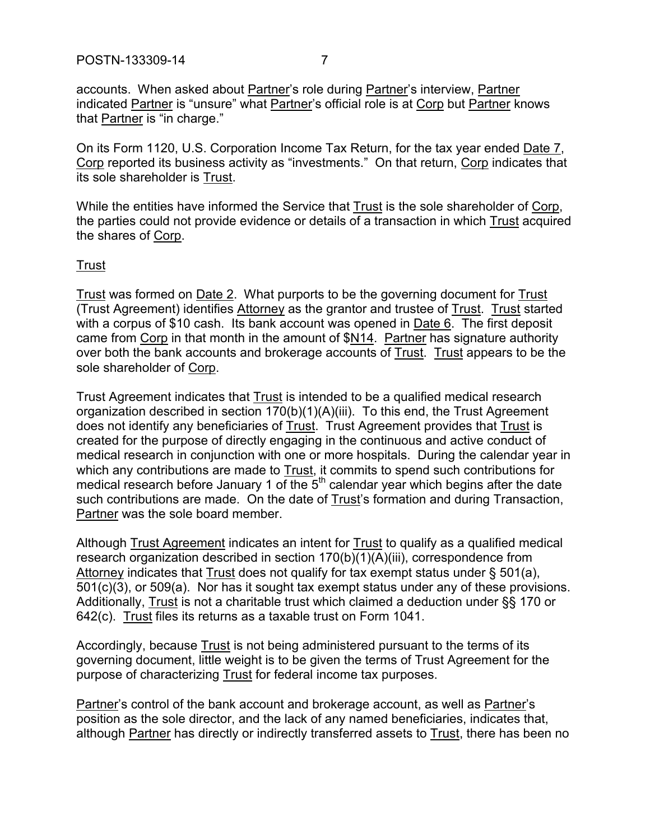accounts. When asked about Partner's role during Partner's interview, Partner indicated Partner is "unsure" what Partner's official role is at Corp but Partner knows that Partner is "in charge."

On its Form 1120, U.S. Corporation Income Tax Return, for the tax year ended Date 7, Corp reported its business activity as "investments." On that return, Corp indicates that its sole shareholder is Trust.

While the entities have informed the Service that Trust is the sole shareholder of Corp, the parties could not provide evidence or details of a transaction in which Trust acquired the shares of Corp.

# Trust

Trust was formed on Date 2. What purports to be the governing document for Trust (Trust Agreement) identifies Attorney as the grantor and trustee of Trust. Trust started with a corpus of \$10 cash. Its bank account was opened in Date 6. The first deposit came from Corp in that month in the amount of \$N14. Partner has signature authority over both the bank accounts and brokerage accounts of Trust. Trust appears to be the sole shareholder of Corp.

Trust Agreement indicates that Trust is intended to be a qualified medical research organization described in section 170(b)(1)(A)(iii). To this end, the Trust Agreement does not identify any beneficiaries of Trust. Trust Agreement provides that Trust is created for the purpose of directly engaging in the continuous and active conduct of medical research in conjunction with one or more hospitals. During the calendar year in which any contributions are made to **Trust**, it commits to spend such contributions for medical research before January 1 of the  $5<sup>th</sup>$  calendar year which begins after the date such contributions are made. On the date of Trust's formation and during Transaction, Partner was the sole board member.

Although Trust Agreement indicates an intent for Trust to qualify as a qualified medical research organization described in section 170(b)(1)(A)(iii), correspondence from Attorney indicates that Trust does not qualify for tax exempt status under § 501(a), 501(c)(3), or 509(a). Nor has it sought tax exempt status under any of these provisions. Additionally, Trust is not a charitable trust which claimed a deduction under §§ 170 or 642(c). Trust files its returns as a taxable trust on Form 1041.

Accordingly, because Trust is not being administered pursuant to the terms of its governing document, little weight is to be given the terms of Trust Agreement for the purpose of characterizing Trust for federal income tax purposes.

Partner's control of the bank account and brokerage account, as well as Partner's position as the sole director, and the lack of any named beneficiaries, indicates that, although Partner has directly or indirectly transferred assets to Trust, there has been no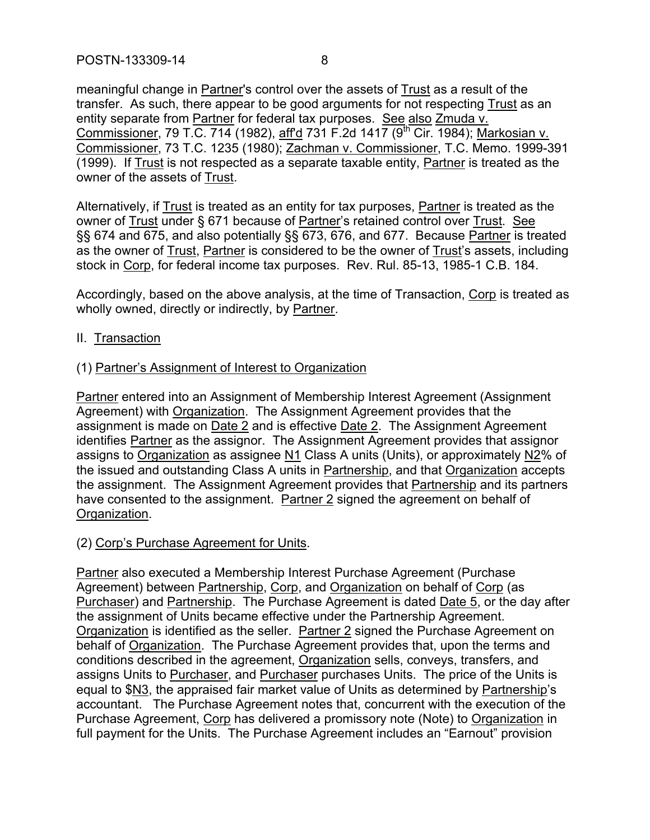meaningful change in Partner's control over the assets of Trust as a result of the transfer. As such, there appear to be good arguments for not respecting Trust as an entity separate from Partner for federal tax purposes. See also Zmuda v. Commissioner, 79 T.C. 714 (1982), aff'd 731 F.2d 1417 (9<sup>th</sup> Cir. 1984); Markosian v. Commissioner, 73 T.C. 1235 (1980); Zachman v. Commissioner, T.C. Memo. 1999-391 (1999). If Trust is not respected as a separate taxable entity, Partner is treated as the owner of the assets of Trust.

Alternatively, if Trust is treated as an entity for tax purposes, Partner is treated as the owner of Trust under § 671 because of Partner's retained control over Trust. See §§ 674 and 675, and also potentially §§ 673, 676, and 677. Because Partner is treated as the owner of Trust, Partner is considered to be the owner of Trust's assets, including stock in Corp, for federal income tax purposes. Rev. Rul. 85-13, 1985-1 C.B. 184.

Accordingly, based on the above analysis, at the time of Transaction, Corp is treated as wholly owned, directly or indirectly, by Partner.

II. Transaction

# (1) Partner's Assignment of Interest to Organization

Partner entered into an Assignment of Membership Interest Agreement (Assignment Agreement) with Organization. The Assignment Agreement provides that the assignment is made on Date 2 and is effective Date 2. The Assignment Agreement identifies Partner as the assignor. The Assignment Agreement provides that assignor assigns to Organization as assignee N1 Class A units (Units), or approximately N2% of the issued and outstanding Class A units in Partnership, and that Organization accepts the assignment. The Assignment Agreement provides that Partnership and its partners have consented to the assignment. Partner 2 signed the agreement on behalf of Organization.

# (2) Corp's Purchase Agreement for Units.

Partner also executed a Membership Interest Purchase Agreement (Purchase Agreement) between Partnership, Corp, and Organization on behalf of Corp (as Purchaser) and Partnership. The Purchase Agreement is dated Date 5, or the day after the assignment of Units became effective under the Partnership Agreement. Organization is identified as the seller. Partner 2 signed the Purchase Agreement on behalf of Organization. The Purchase Agreement provides that, upon the terms and conditions described in the agreement, Organization sells, conveys, transfers, and assigns Units to Purchaser, and Purchaser purchases Units. The price of the Units is equal to \$N3, the appraised fair market value of Units as determined by Partnership's accountant. The Purchase Agreement notes that, concurrent with the execution of the Purchase Agreement, Corp has delivered a promissory note (Note) to Organization in full payment for the Units. The Purchase Agreement includes an "Earnout" provision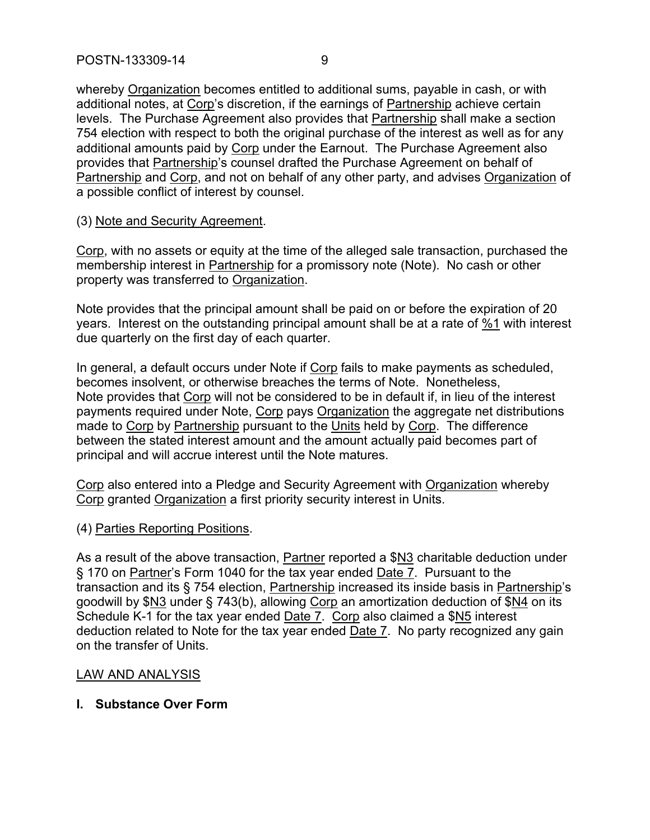whereby Organization becomes entitled to additional sums, payable in cash, or with additional notes, at Corp's discretion, if the earnings of Partnership achieve certain levels. The Purchase Agreement also provides that Partnership shall make a section 754 election with respect to both the original purchase of the interest as well as for any additional amounts paid by Corp under the Earnout. The Purchase Agreement also provides that Partnership's counsel drafted the Purchase Agreement on behalf of Partnership and Corp, and not on behalf of any other party, and advises Organization of a possible conflict of interest by counsel.

#### (3) Note and Security Agreement.

Corp, with no assets or equity at the time of the alleged sale transaction, purchased the membership interest in Partnership for a promissory note (Note). No cash or other property was transferred to Organization.

Note provides that the principal amount shall be paid on or before the expiration of 20 years. Interest on the outstanding principal amount shall be at a rate of %1 with interest due quarterly on the first day of each quarter.

In general, a default occurs under Note if Corp fails to make payments as scheduled, becomes insolvent, or otherwise breaches the terms of Note. Nonetheless, Note provides that Corp will not be considered to be in default if, in lieu of the interest payments required under Note, Corp pays Organization the aggregate net distributions made to Corp by Partnership pursuant to the Units held by Corp. The difference between the stated interest amount and the amount actually paid becomes part of principal and will accrue interest until the Note matures.

Corp also entered into a Pledge and Security Agreement with Organization whereby Corp granted Organization a first priority security interest in Units.

# (4) Parties Reporting Positions.

As a result of the above transaction, Partner reported a \$N3 charitable deduction under § 170 on Partner's Form 1040 for the tax year ended Date 7. Pursuant to the transaction and its § 754 election, Partnership increased its inside basis in Partnership's goodwill by \$N3 under § 743(b), allowing Corp an amortization deduction of \$N4 on its Schedule K-1 for the tax year ended Date 7. Corp also claimed a \$N5 interest deduction related to Note for the tax year ended Date 7. No party recognized any gain on the transfer of Units.

#### LAW AND ANALYSIS

# **I. Substance Over Form**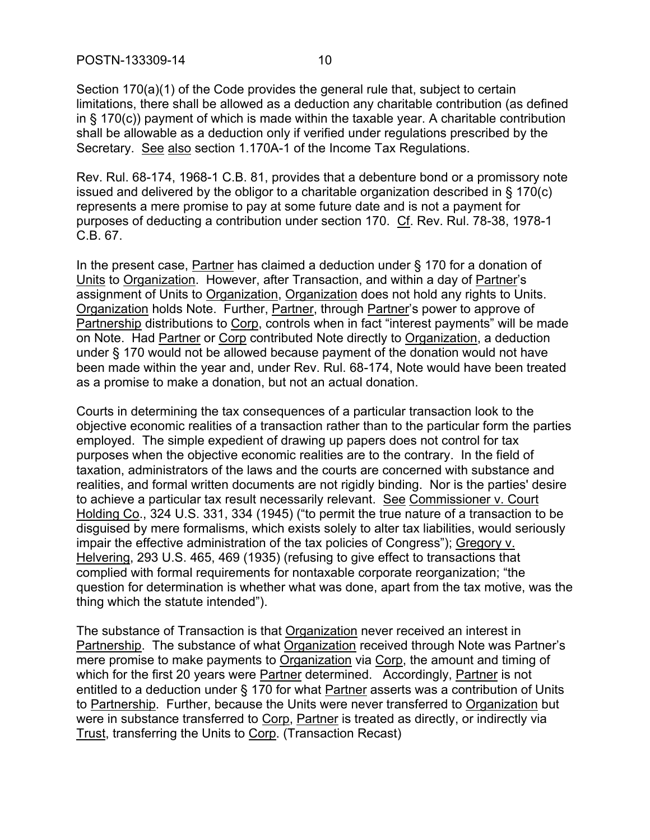POSTN-133309-14 10

Section 170(a)(1) of the Code provides the general rule that, subject to certain limitations, there shall be allowed as a deduction any charitable contribution (as defined in § 170(c)) payment of which is made within the taxable year. A charitable contribution shall be allowable as a deduction only if verified under regulations prescribed by the Secretary. See also section 1.170A-1 of the Income Tax Regulations.

Rev. Rul. 68-174, 1968-1 C.B. 81, provides that a debenture bond or a promissory note issued and delivered by the obligor to a charitable organization described in § 170(c) represents a mere promise to pay at some future date and is not a payment for purposes of deducting a contribution under section 170. Cf. Rev. Rul. 78-38, 1978-1 C.B. 67.

In the present case, Partner has claimed a deduction under § 170 for a donation of Units to Organization. However, after Transaction, and within a day of Partner's assignment of Units to Organization, Organization does not hold any rights to Units. Organization holds Note. Further, Partner, through Partner's power to approve of Partnership distributions to Corp, controls when in fact "interest payments" will be made on Note. Had Partner or Corp contributed Note directly to Organization, a deduction under § 170 would not be allowed because payment of the donation would not have been made within the year and, under Rev. Rul. 68-174, Note would have been treated as a promise to make a donation, but not an actual donation.

Courts in determining the tax consequences of a particular transaction look to the objective economic realities of a transaction rather than to the particular form the parties employed. The simple expedient of drawing up papers does not control for tax purposes when the objective economic realities are to the contrary. In the field of taxation, administrators of the laws and the courts are concerned with substance and realities, and formal written documents are not rigidly binding. Nor is the parties' desire to achieve a particular tax result necessarily relevant. See Commissioner v. Court Holding Co., 324 U.S. 331, 334 (1945) ("to permit the true nature of a transaction to be disguised by mere formalisms, which exists solely to alter tax liabilities, would seriously impair the effective administration of the tax policies of Congress"); Gregory v. Helvering, 293 U.S. 465, 469 (1935) (refusing to give effect to transactions that complied with formal requirements for nontaxable corporate reorganization; "the question for determination is whether what was done, apart from the tax motive, was the thing which the statute intended").

The substance of Transaction is that Organization never received an interest in Partnership. The substance of what Organization received through Note was Partner's mere promise to make payments to Organization via Corp, the amount and timing of which for the first 20 years were **Partner** determined. Accordingly, Partner is not entitled to a deduction under § 170 for what Partner asserts was a contribution of Units to Partnership. Further, because the Units were never transferred to Organization but were in substance transferred to Corp, Partner is treated as directly, or indirectly via Trust, transferring the Units to Corp. (Transaction Recast)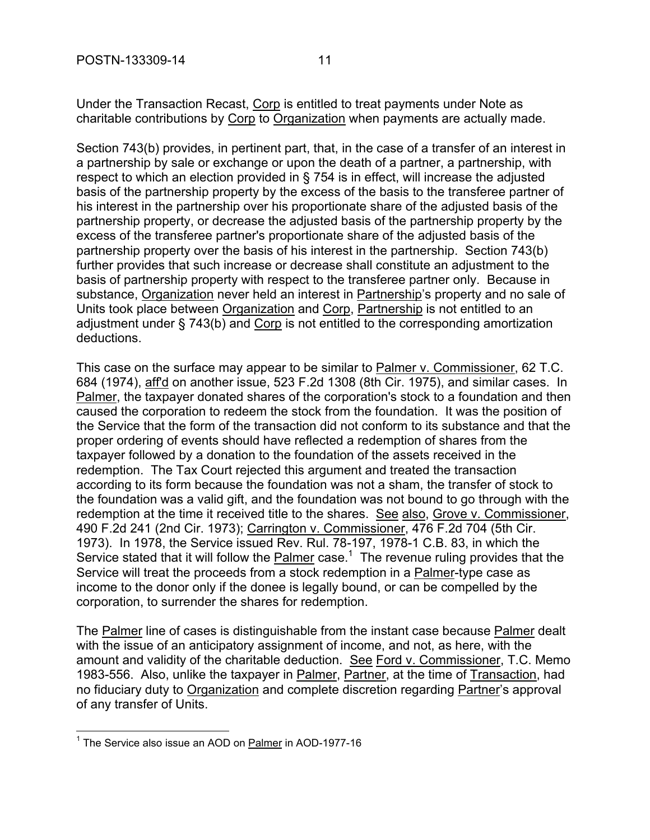Under the Transaction Recast, Corp is entitled to treat payments under Note as charitable contributions by Corp to Organization when payments are actually made.

Section 743(b) provides, in pertinent part, that, in the case of a transfer of an interest in a partnership by sale or exchange or upon the death of a partner, a partnership, with respect to which an election provided in § 754 is in effect, will increase the adjusted basis of the partnership property by the excess of the basis to the transferee partner of his interest in the partnership over his proportionate share of the adjusted basis of the partnership property, or decrease the adjusted basis of the partnership property by the excess of the transferee partner's proportionate share of the adjusted basis of the partnership property over the basis of his interest in the partnership. Section 743(b) further provides that such increase or decrease shall constitute an adjustment to the basis of partnership property with respect to the transferee partner only. Because in substance, Organization never held an interest in Partnership's property and no sale of Units took place between Organization and Corp, Partnership is not entitled to an adjustment under § 743(b) and Corp is not entitled to the corresponding amortization deductions.

This case on the surface may appear to be similar to Palmer v. Commissioner, 62 T.C. 684 (1974), aff'd on another issue, 523 F.2d 1308 (8th Cir. 1975), and similar cases. In Palmer, the taxpayer donated shares of the corporation's stock to a foundation and then caused the corporation to redeem the stock from the foundation. It was the position of the Service that the form of the transaction did not conform to its substance and that the proper ordering of events should have reflected a redemption of shares from the taxpayer followed by a donation to the foundation of the assets received in the redemption. The Tax Court rejected this argument and treated the transaction according to its form because the foundation was not a sham, the transfer of stock to the foundation was a valid gift, and the foundation was not bound to go through with the redemption at the time it received title to the shares. See also, Grove v. Commissioner, 490 F.2d 241 (2nd Cir. 1973); Carrington v. Commissioner, 476 F.2d 704 (5th Cir. 1973). In 1978, the Service issued Rev. Rul. 78-197, 1978-1 C.B. 83, in which the Service stated that it will follow the **Palmer** case.<sup>1</sup> The revenue ruling provides that the Service will treat the proceeds from a stock redemption in a Palmer-type case as income to the donor only if the donee is legally bound, or can be compelled by the corporation, to surrender the shares for redemption.

The Palmer line of cases is distinguishable from the instant case because Palmer dealt with the issue of an anticipatory assignment of income, and not, as here, with the amount and validity of the charitable deduction. See Ford v. Commissioner, T.C. Memo 1983-556. Also, unlike the taxpayer in Palmer, Partner, at the time of Transaction, had no fiduciary duty to Organization and complete discretion regarding Partner's approval of any transfer of Units.

 1 The Service also issue an AOD on Palmer in AOD-1977-16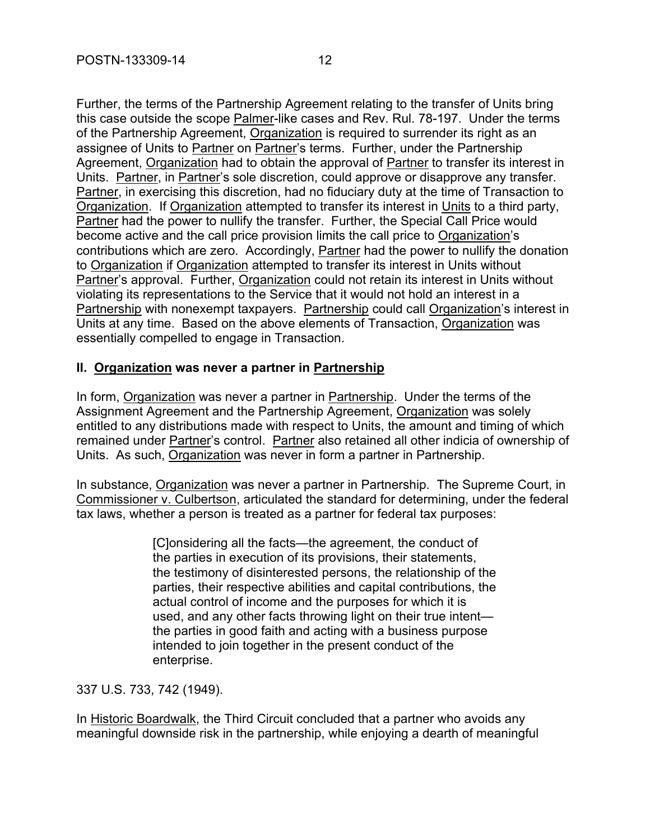Further, the terms of the Partnership Agreement relating to the transfer of Units bring this case outside the scope Palmer-like cases and Rev. Rul. 78-197. Under the terms of the Partnership Agreement, Organization is required to surrender its right as an assignee of Units to Partner on Partner's terms. Further, under the Partnership Agreement, Organization had to obtain the approval of Partner to transfer its interest in Units. Partner, in Partner's sole discretion, could approve or disapprove any transfer. Partner, in exercising this discretion, had no fiduciary duty at the time of Transaction to Organization. If Organization attempted to transfer its interest in Units to a third party, Partner had the power to nullify the transfer. Further, the Special Call Price would become active and the call price provision limits the call price to Organization's contributions which are zero. Accordingly, Partner had the power to nullify the donation to Organization if Organization attempted to transfer its interest in Units without Partner's approval. Further, Organization could not retain its interest in Units without violating its representations to the Service that it would not hold an interest in a Partnership with nonexempt taxpayers. Partnership could call Organization's interest in Units at any time. Based on the above elements of Transaction, Organization was essentially compelled to engage in Transaction.

#### **II. Organization was never a partner in Partnership**

In form, Organization was never a partner in Partnership. Under the terms of the Assignment Agreement and the Partnership Agreement, Organization was solely entitled to any distributions made with respect to Units, the amount and timing of which remained under Partner's control. Partner also retained all other indicia of ownership of Units. As such, Organization was never in form a partner in Partnership.

In substance, Organization was never a partner in Partnership. The Supreme Court, in Commissioner v. Culbertson, articulated the standard for determining, under the federal tax laws, whether a person is treated as a partner for federal tax purposes:

> [C]onsidering all the facts—the agreement, the conduct of the parties in execution of its provisions, their statements, the testimony of disinterested persons, the relationship of the parties, their respective abilities and capital contributions, the actual control of income and the purposes for which it is used, and any other facts throwing light on their true intent the parties in good faith and acting with a business purpose intended to join together in the present conduct of the enterprise.

337 U.S. 733, 742 (1949).

In Historic Boardwalk, the Third Circuit concluded that a partner who avoids any meaningful downside risk in the partnership, while enjoying a dearth of meaningful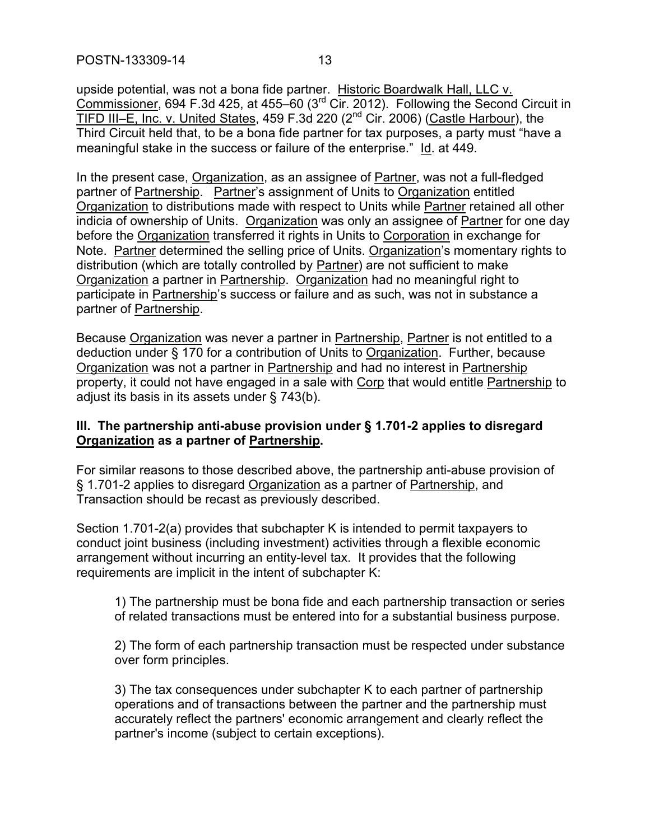upside potential, was not a bona fide partner. Historic Boardwalk Hall, LLC v. Commissioner, 694 F.3d 425, at 455–60 (3rd Cir. 2012). Following the Second Circuit in TIFD III–E, Inc. v. United States, 459 F.3d 220 (2nd Cir. 2006) (Castle Harbour), the Third Circuit held that, to be a bona fide partner for tax purposes, a party must "have a meaningful stake in the success or failure of the enterprise." Id. at 449.

In the present case, Organization, as an assignee of Partner, was not a full-fledged partner of Partnership. Partner's assignment of Units to Organization entitled Organization to distributions made with respect to Units while Partner retained all other indicia of ownership of Units. Organization was only an assignee of Partner for one day before the Organization transferred it rights in Units to Corporation in exchange for Note. Partner determined the selling price of Units. Organization's momentary rights to distribution (which are totally controlled by Partner) are not sufficient to make Organization a partner in Partnership. Organization had no meaningful right to participate in Partnership's success or failure and as such, was not in substance a partner of Partnership.

Because Organization was never a partner in Partnership, Partner is not entitled to a deduction under § 170 for a contribution of Units to Organization. Further, because Organization was not a partner in Partnership and had no interest in Partnership property, it could not have engaged in a sale with Corp that would entitle Partnership to adjust its basis in its assets under § 743(b).

# **III. The partnership anti-abuse provision under § 1.701-2 applies to disregard Organization as a partner of Partnership.**

For similar reasons to those described above, the partnership anti-abuse provision of § 1.701-2 applies to disregard Organization as a partner of Partnership, and Transaction should be recast as previously described.

Section 1.701-2(a) provides that subchapter K is intended to permit taxpayers to conduct joint business (including investment) activities through a flexible economic arrangement without incurring an entity-level tax. It provides that the following requirements are implicit in the intent of subchapter K:

1) The partnership must be bona fide and each partnership transaction or series of related transactions must be entered into for a substantial business purpose.

2) The form of each partnership transaction must be respected under substance over form principles.

3) The tax consequences under subchapter K to each partner of partnership operations and of transactions between the partner and the partnership must accurately reflect the partners' economic arrangement and clearly reflect the partner's income (subject to certain exceptions).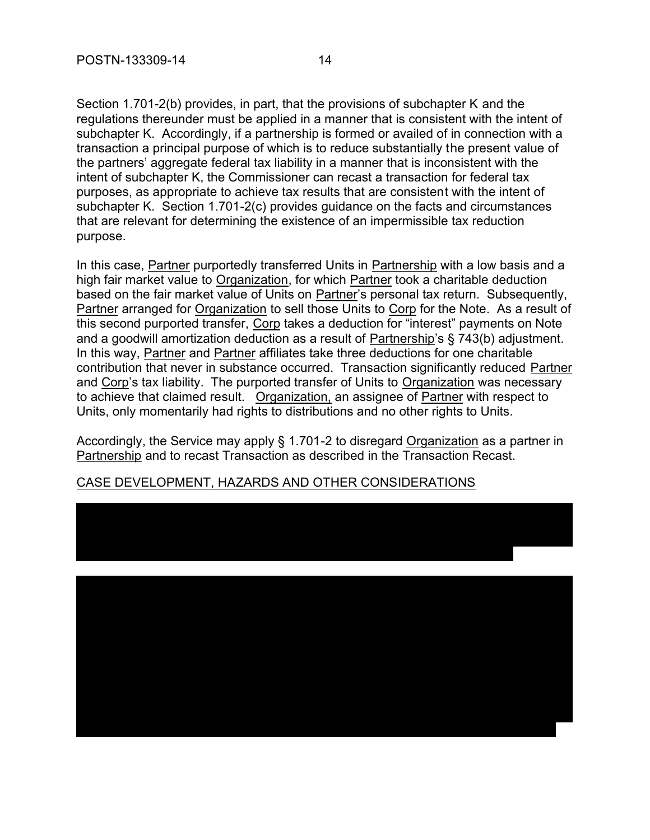Section 1.701-2(b) provides, in part, that the provisions of subchapter K and the regulations thereunder must be applied in a manner that is consistent with the intent of subchapter K. Accordingly, if a partnership is formed or availed of in connection with a transaction a principal purpose of which is to reduce substantially the present value of the partners' aggregate federal tax liability in a manner that is inconsistent with the intent of subchapter K, the Commissioner can recast a transaction for federal tax purposes, as appropriate to achieve tax results that are consistent with the intent of subchapter K. Section 1.701-2(c) provides guidance on the facts and circumstances that are relevant for determining the existence of an impermissible tax reduction purpose.

In this case, Partner purportedly transferred Units in Partnership with a low basis and a high fair market value to Organization, for which Partner took a charitable deduction based on the fair market value of Units on Partner's personal tax return. Subsequently, Partner arranged for Organization to sell those Units to Corp for the Note. As a result of this second purported transfer, Corp takes a deduction for "interest" payments on Note and a goodwill amortization deduction as a result of Partnership's § 743(b) adjustment. In this way, Partner and Partner affiliates take three deductions for one charitable contribution that never in substance occurred. Transaction significantly reduced Partner and Corp's tax liability. The purported transfer of Units to Organization was necessary to achieve that claimed result. Organization, an assignee of Partner with respect to Units, only momentarily had rights to distributions and no other rights to Units.

Accordingly, the Service may apply § 1.701-2 to disregard Organization as a partner in Partnership and to recast Transaction as described in the Transaction Recast.

#### CASE DEVELOPMENT, HAZARDS AND OTHER CONSIDERATIONS